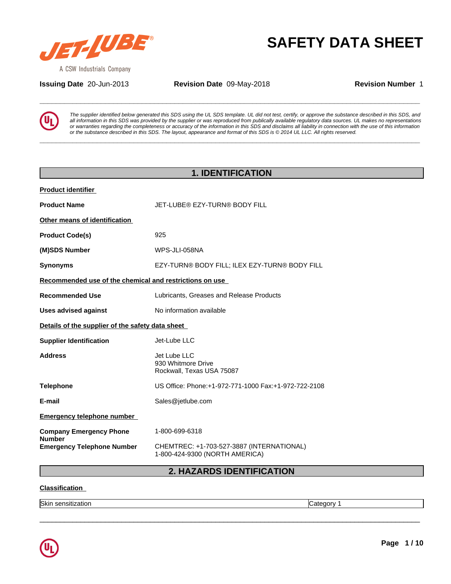

**Issuing Date** 20-Jun-2013 **Revision Date** 09-May-2018 **Revision Number** 1

**SAFETY DATA SHEET**<br>A CSW Industrials Company<br>**Assuing Date** 20-Jun-2013 **Revision Date** 09-May-2018 **Revision Number 1**<br>**The supplier identified below generated this SDS** using the UL SDS template. UL did not test, certif *The supplier identified below generated this SDS using the UL SDS template. UL did not test, certify, or approve the substance described in this SDS, and* all information in this SDS was provided by the supplier or was reproduced from publically available regulatory data sources. UL makes no representations or warranties regarding the completeness or accuracy of the information in this SDS and disclaims all liability in connection with the use of this information or the substance described in this SDS. The layout, appearance and format of this SDS is @ 2014 UL LLC. All rights reserved.

**\_\_\_\_\_\_\_\_\_\_\_\_\_\_\_\_\_\_\_\_\_\_\_\_\_\_\_\_\_\_\_\_\_\_\_\_\_\_\_\_\_\_\_\_\_\_\_\_\_\_\_\_\_\_\_\_\_\_\_\_\_\_\_\_\_\_\_\_\_\_\_\_\_\_\_\_\_\_\_\_\_\_\_\_\_\_\_\_\_\_\_\_\_**

|                                                         | <b>1. IDENTIFICATION</b>                                                    |
|---------------------------------------------------------|-----------------------------------------------------------------------------|
| <b>Product identifier</b>                               |                                                                             |
| <b>Product Name</b>                                     | JET-LUBE® EZY-TURN® BODY FILL                                               |
| Other means of identification                           |                                                                             |
| <b>Product Code(s)</b>                                  | 925                                                                         |
| (M)SDS Number                                           | WPS-JLI-058NA                                                               |
| <b>Synonyms</b>                                         | EZY-TURN® BODY FILL; ILEX EZY-TURN® BODY FILL                               |
| Recommended use of the chemical and restrictions on use |                                                                             |
| <b>Recommended Use</b>                                  | Lubricants, Greases and Release Products                                    |
| <b>Uses advised against</b>                             | No information available                                                    |
| Details of the supplier of the safety data sheet        |                                                                             |
| <b>Supplier Identification</b>                          | Jet-Lube LLC                                                                |
| <b>Address</b>                                          | Jet Lube LLC<br>930 Whitmore Drive<br>Rockwall, Texas USA 75087             |
| <b>Telephone</b>                                        | US Office: Phone: +1-972-771-1000 Fax: +1-972-722-2108                      |
| E-mail                                                  | Sales@jetlube.com                                                           |
| <b>Emergency telephone number</b>                       |                                                                             |
| <b>Company Emergency Phone</b><br><b>Number</b>         | 1-800-699-6318                                                              |
| <b>Emergency Telephone Number</b>                       | CHEMTREC: +1-703-527-3887 (INTERNATIONAL)<br>1-800-424-9300 (NORTH AMERICA) |

**2. HAZARDS IDENTIFICATION**

 $\overline{\phantom{a}}$  ,  $\overline{\phantom{a}}$  ,  $\overline{\phantom{a}}$  ,  $\overline{\phantom{a}}$  ,  $\overline{\phantom{a}}$  ,  $\overline{\phantom{a}}$  ,  $\overline{\phantom{a}}$  ,  $\overline{\phantom{a}}$  ,  $\overline{\phantom{a}}$  ,  $\overline{\phantom{a}}$  ,  $\overline{\phantom{a}}$  ,  $\overline{\phantom{a}}$  ,  $\overline{\phantom{a}}$  ,  $\overline{\phantom{a}}$  ,  $\overline{\phantom{a}}$  ,  $\overline{\phantom{a}}$ 

## **Classification**

Skin sensitization **Category 1 Category 1 Category 1** 

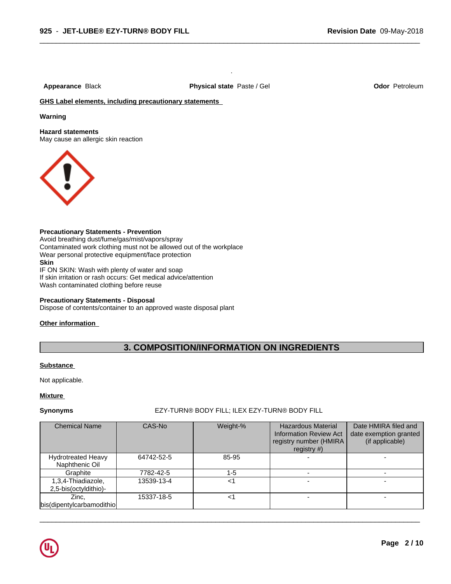**Appearance** Black **Physical state** Paste / Gel **Odor** Petroleum

.

 $\overline{\phantom{a}}$  ,  $\overline{\phantom{a}}$  ,  $\overline{\phantom{a}}$  ,  $\overline{\phantom{a}}$  ,  $\overline{\phantom{a}}$  ,  $\overline{\phantom{a}}$  ,  $\overline{\phantom{a}}$  ,  $\overline{\phantom{a}}$  ,  $\overline{\phantom{a}}$  ,  $\overline{\phantom{a}}$  ,  $\overline{\phantom{a}}$  ,  $\overline{\phantom{a}}$  ,  $\overline{\phantom{a}}$  ,  $\overline{\phantom{a}}$  ,  $\overline{\phantom{a}}$  ,  $\overline{\phantom{a}}$ 

# **GHS Label elements, including precautionary statements**

#### **Warning**

**Hazard statements**

May cause an allergic skin reaction



### **Precautionary Statements - Prevention**

Avoid breathing dust/fume/gas/mist/vapors/spray Contaminated work clothing must not be allowed out of the workplace Wear personal protective equipment/face protection **Skin** IF ON SKIN: Wash with plenty of water and soap If skin irritation or rash occurs: Get medical advice/attention Wash contaminated clothing before reuse

#### **Precautionary Statements - Disposal**

Dispose of contents/container to an approved waste disposal plant

### **Other information**

# **3. COMPOSITION/INFORMATION ON INGREDIENTS**

#### **Substance**

Not applicable.

### **Mixture**

## **Synonyms** EZY-TURN® BODY FILL; ILEX EZY-TURN® BODY FILL

| <b>Chemical Name</b>                        | CAS-No     | Weight-% | <b>Hazardous Material</b><br>Information Review Act<br>registry number (HMIRA<br>registry $#$ ) | Date HMIRA filed and<br>date exemption granted<br>(if applicable) |
|---------------------------------------------|------------|----------|-------------------------------------------------------------------------------------------------|-------------------------------------------------------------------|
| <b>Hydrotreated Heavy</b><br>Naphthenic Oil | 64742-52-5 | 85-95    |                                                                                                 |                                                                   |
| Graphite                                    | 7782-42-5  | 1-5      |                                                                                                 |                                                                   |
| 1,3,4-Thiadiazole,<br>2,5-bis(octyldithio)- | 13539-13-4 | <1       |                                                                                                 |                                                                   |
| Zinc,<br>bis(dipentylcarbamodithio)         | 15337-18-5 | <1       |                                                                                                 |                                                                   |

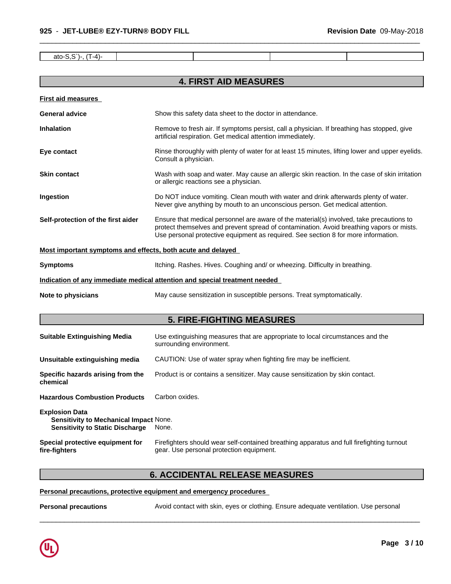ato-S,S`)-, (T-4)-

# **4. FIRST AID MEASURES**

 $\overline{\phantom{a}}$  ,  $\overline{\phantom{a}}$  ,  $\overline{\phantom{a}}$  ,  $\overline{\phantom{a}}$  ,  $\overline{\phantom{a}}$  ,  $\overline{\phantom{a}}$  ,  $\overline{\phantom{a}}$  ,  $\overline{\phantom{a}}$  ,  $\overline{\phantom{a}}$  ,  $\overline{\phantom{a}}$  ,  $\overline{\phantom{a}}$  ,  $\overline{\phantom{a}}$  ,  $\overline{\phantom{a}}$  ,  $\overline{\phantom{a}}$  ,  $\overline{\phantom{a}}$  ,  $\overline{\phantom{a}}$ 

| <b>First aid measures</b>                                   |                                                                                                                                                                                                                                                                            |
|-------------------------------------------------------------|----------------------------------------------------------------------------------------------------------------------------------------------------------------------------------------------------------------------------------------------------------------------------|
| <b>General advice</b>                                       | Show this safety data sheet to the doctor in attendance.                                                                                                                                                                                                                   |
| <b>Inhalation</b>                                           | Remove to fresh air. If symptoms persist, call a physician. If breathing has stopped, give<br>artificial respiration. Get medical attention immediately.                                                                                                                   |
| Eye contact                                                 | Rinse thoroughly with plenty of water for at least 15 minutes, lifting lower and upper eyelids.<br>Consult a physician.                                                                                                                                                    |
| <b>Skin contact</b>                                         | Wash with soap and water. May cause an allergic skin reaction. In the case of skin irritation<br>or allergic reactions see a physician.                                                                                                                                    |
| Ingestion                                                   | Do NOT induce vomiting. Clean mouth with water and drink afterwards plenty of water.<br>Never give anything by mouth to an unconscious person. Get medical attention.                                                                                                      |
| Self-protection of the first aider                          | Ensure that medical personnel are aware of the material(s) involved, take precautions to<br>protect themselves and prevent spread of contamination. Avoid breathing vapors or mists.<br>Use personal protective equipment as required. See section 8 for more information. |
| Most important symptoms and effects, both acute and delayed |                                                                                                                                                                                                                                                                            |
| <b>Symptoms</b>                                             | Itching. Rashes. Hives. Coughing and/ or wheezing. Difficulty in breathing.                                                                                                                                                                                                |
|                                                             | Indication of any immediate medical attention and special treatment needed                                                                                                                                                                                                 |
| Note to physicians                                          | May cause sensitization in susceptible persons. Treat symptomatically.                                                                                                                                                                                                     |
|                                                             | <b>5. FIRE-FIGHTING MEASURES</b>                                                                                                                                                                                                                                           |
| <b>Suitable Extinguishing Media</b>                         | Use extinguishing measures that are appropriate to local circumstances and the<br>surrounding environment.                                                                                                                                                                 |
| Unsuitable extinguishing media                              | CAUTION: Use of water spray when fighting fire may be inefficient.                                                                                                                                                                                                         |
| Specific hazards arising from the<br>chemical               | Product is or contains a sensitizer. May cause sensitization by skin contact.                                                                                                                                                                                              |
| <b>Hazardous Combustion Products</b>                        | Carbon oxides.                                                                                                                                                                                                                                                             |

**Explosion Data Sensitivity to Mechanical Impact** None. **Sensitivity to Static Discharge** None. **Special protective equipment for**

Firefighters should wear self-contained breathing apparatus and full firefighting turnout gear. Use personal protection equipment.

 $\overline{\phantom{a}}$  ,  $\overline{\phantom{a}}$  ,  $\overline{\phantom{a}}$  ,  $\overline{\phantom{a}}$  ,  $\overline{\phantom{a}}$  ,  $\overline{\phantom{a}}$  ,  $\overline{\phantom{a}}$  ,  $\overline{\phantom{a}}$  ,  $\overline{\phantom{a}}$  ,  $\overline{\phantom{a}}$  ,  $\overline{\phantom{a}}$  ,  $\overline{\phantom{a}}$  ,  $\overline{\phantom{a}}$  ,  $\overline{\phantom{a}}$  ,  $\overline{\phantom{a}}$  ,  $\overline{\phantom{a}}$ 

# **6. ACCIDENTAL RELEASE MEASURES**

## **Personal precautions, protective equipment and emergency procedures**

**Personal precautions** Avoid contact with skin, eyes or clothing. Ensure adequate ventilation. Use personal

**fire-fighters**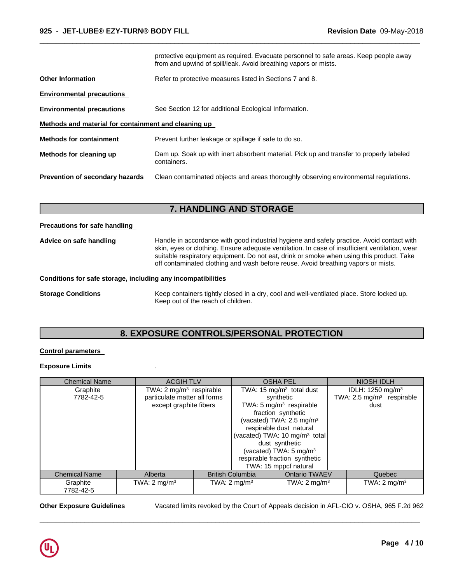|                                                      | protective equipment as required. Evacuate personnel to safe areas. Keep people away<br>from and upwind of spill/leak. Avoid breathing vapors or mists. |
|------------------------------------------------------|---------------------------------------------------------------------------------------------------------------------------------------------------------|
| <b>Other Information</b>                             | Refer to protective measures listed in Sections 7 and 8.                                                                                                |
| <b>Environmental precautions</b>                     |                                                                                                                                                         |
| <b>Environmental precautions</b>                     | See Section 12 for additional Ecological Information.                                                                                                   |
| Methods and material for containment and cleaning up |                                                                                                                                                         |
| <b>Methods for containment</b>                       | Prevent further leakage or spillage if safe to do so.                                                                                                   |
| Methods for cleaning up                              | Dam up. Soak up with inert absorbent material. Pick up and transfer to properly labeled<br>containers.                                                  |
| <b>Prevention of secondary hazards</b>               | Clean contaminated objects and areas thoroughly observing environmental regulations.                                                                    |

 $\overline{\phantom{a}}$  ,  $\overline{\phantom{a}}$  ,  $\overline{\phantom{a}}$  ,  $\overline{\phantom{a}}$  ,  $\overline{\phantom{a}}$  ,  $\overline{\phantom{a}}$  ,  $\overline{\phantom{a}}$  ,  $\overline{\phantom{a}}$  ,  $\overline{\phantom{a}}$  ,  $\overline{\phantom{a}}$  ,  $\overline{\phantom{a}}$  ,  $\overline{\phantom{a}}$  ,  $\overline{\phantom{a}}$  ,  $\overline{\phantom{a}}$  ,  $\overline{\phantom{a}}$  ,  $\overline{\phantom{a}}$ 

# **7. HANDLING AND STORAGE**

#### **Precautions for safe handling**

**Advice on safe handling** Handle in accordance with good industrial hygiene and safety practice. Avoid contact with skin, eyes or clothing. Ensure adequate ventilation. In case of insufficient ventilation, wear suitable respiratory equipment. Do not eat, drink or smoke when using this product. Take off contaminated clothing and wash before reuse. Avoid breathing vapors or mists.

### **Conditions for safe storage, including any incompatibilities**

**Storage Conditions** Keep containers tightly closed in a dry, cool and well-ventilated place. Store locked up. Keep out of the reach of children.

# **8. EXPOSURE CONTROLS/PERSONAL PROTECTION**

### **Control parameters**

### **Exposure Limits** .

| <b>Chemical Name</b> |  | <b>ACGIH TLV</b>                    |                |                         | <b>OSHA PEL</b>                           |                              | <b>NIOSH IDLH</b> |                                      |
|----------------------|--|-------------------------------------|----------------|-------------------------|-------------------------------------------|------------------------------|-------------------|--------------------------------------|
| Graphite             |  | TWA: 2 mg/m <sup>3</sup> respirable |                |                         | TWA: 15 mg/m <sup>3</sup> total dust      | IDLH: 1250 mg/m <sup>3</sup> |                   |                                      |
| 7782-42-5            |  | particulate matter all forms        |                |                         | synthetic                                 |                              |                   | TWA: $2.5 \text{ mg/m}^3$ respirable |
|                      |  | except graphite fibers              |                |                         | TWA: 5 mg/m <sup>3</sup> respirable       |                              | dust              |                                      |
|                      |  |                                     |                |                         | fraction synthetic                        |                              |                   |                                      |
|                      |  |                                     |                |                         | (vacated) TWA: 2.5 mg/m <sup>3</sup>      |                              |                   |                                      |
|                      |  |                                     |                |                         | respirable dust natural                   |                              |                   |                                      |
|                      |  |                                     |                |                         | (vacated) TWA: 10 mg/m <sup>3</sup> total |                              |                   |                                      |
|                      |  |                                     | dust synthetic |                         |                                           |                              |                   |                                      |
|                      |  |                                     |                |                         | (vacated) TWA: 5 mg/m <sup>3</sup>        |                              |                   |                                      |
|                      |  |                                     |                |                         | respirable fraction synthetic             |                              |                   |                                      |
|                      |  |                                     |                |                         | TWA: 15 mppcf natural                     |                              |                   |                                      |
| <b>Chemical Name</b> |  | Alberta                             |                | <b>British Columbia</b> | <b>Ontario TWAEV</b>                      |                              |                   | Quebec                               |
| Graphite             |  | TWA: $2 \text{ mg/m}^3$             |                | TWA: $2 \text{ mg/m}^3$ | TWA: $2 \text{ mg/m}^3$                   |                              |                   | TWA: $2 \text{ mg/m}^3$              |
| 7782-42-5            |  |                                     |                |                         |                                           |                              |                   |                                      |

**Other Exposure Guidelines** Vacated limits revoked by the Court of Appeals decision in AFL-CIO v.OSHA, 965 F.2d 962

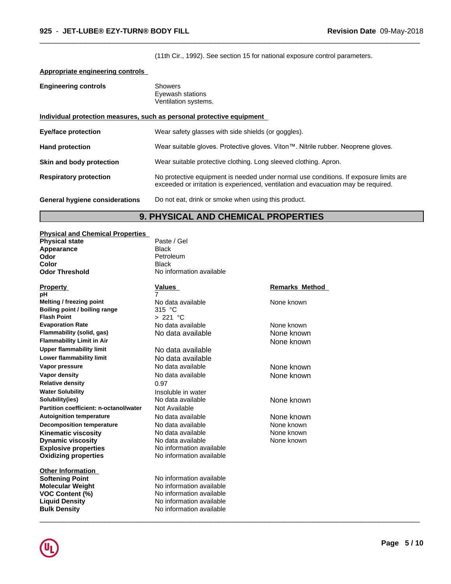(11th Cir., 1992). See section 15 for national exposure control parameters.

 $\overline{\phantom{a}}$  ,  $\overline{\phantom{a}}$  ,  $\overline{\phantom{a}}$  ,  $\overline{\phantom{a}}$  ,  $\overline{\phantom{a}}$  ,  $\overline{\phantom{a}}$  ,  $\overline{\phantom{a}}$  ,  $\overline{\phantom{a}}$  ,  $\overline{\phantom{a}}$  ,  $\overline{\phantom{a}}$  ,  $\overline{\phantom{a}}$  ,  $\overline{\phantom{a}}$  ,  $\overline{\phantom{a}}$  ,  $\overline{\phantom{a}}$  ,  $\overline{\phantom{a}}$  ,  $\overline{\phantom{a}}$ 

 $\overline{\phantom{a}}$  ,  $\overline{\phantom{a}}$  ,  $\overline{\phantom{a}}$  ,  $\overline{\phantom{a}}$  ,  $\overline{\phantom{a}}$  ,  $\overline{\phantom{a}}$  ,  $\overline{\phantom{a}}$  ,  $\overline{\phantom{a}}$  ,  $\overline{\phantom{a}}$  ,  $\overline{\phantom{a}}$  ,  $\overline{\phantom{a}}$  ,  $\overline{\phantom{a}}$  ,  $\overline{\phantom{a}}$  ,  $\overline{\phantom{a}}$  ,  $\overline{\phantom{a}}$  ,  $\overline{\phantom{a}}$ 

# **Appropriate engineering controls**

| <b>Engineering controls</b>           | <b>Showers</b><br>Eyewash stations<br>Ventilation systems.                                                                                                                  |
|---------------------------------------|-----------------------------------------------------------------------------------------------------------------------------------------------------------------------------|
|                                       | Individual protection measures, such as personal protective equipment                                                                                                       |
| <b>Eye/face protection</b>            | Wear safety glasses with side shields (or goggles).                                                                                                                         |
| <b>Hand protection</b>                | Wear suitable gloves. Protective gloves. Viton™. Nitrile rubber. Neoprene gloves.                                                                                           |
| Skin and body protection              | Wear suitable protective clothing. Long sleeved clothing. Apron.                                                                                                            |
| <b>Respiratory protection</b>         | No protective equipment is needed under normal use conditions. If exposure limits are<br>exceeded or irritation is experienced, ventilation and evacuation may be required. |
| <b>General hygiene considerations</b> | Do not eat, drink or smoke when using this product.                                                                                                                         |

# **9. PHYSICAL AND CHEMICAL PROPERTIES**

| <b>Physical and Chemical Properties</b> |                          |                       |  |
|-----------------------------------------|--------------------------|-----------------------|--|
| <b>Physical state</b>                   | Paste / Gel              |                       |  |
| Appearance                              | <b>Black</b>             |                       |  |
| Odor                                    | Petroleum                |                       |  |
| Color                                   | <b>Black</b>             |                       |  |
| <b>Odor Threshold</b>                   | No information available |                       |  |
| <u>Property</u>                         | Values                   | <b>Remarks Method</b> |  |
| pН                                      | 7                        |                       |  |
| Melting / freezing point                | No data available        | None known            |  |
| Boiling point / boiling range           | 315 $°C$                 |                       |  |
| <b>Flash Point</b>                      | > 221 °C                 |                       |  |
| <b>Evaporation Rate</b>                 | No data available        | None known            |  |
| Flammability (solid, gas)               | No data available        | None known            |  |
| <b>Flammability Limit in Air</b>        |                          | None known            |  |
| <b>Upper flammability limit</b>         | No data available        |                       |  |
| Lower flammability limit                | No data available        |                       |  |
| Vapor pressure                          | No data available        | None known            |  |
| Vapor density                           | No data available        | None known            |  |
| <b>Relative density</b>                 | 0.97                     |                       |  |
| <b>Water Solubility</b>                 | Insoluble in water       |                       |  |
| Solubility(ies)                         | No data available        | None known            |  |
| Partition coefficient: n-octanol/water  | Not Available            |                       |  |
| <b>Autoignition temperature</b>         | No data available        | None known            |  |
| <b>Decomposition temperature</b>        | No data available        | None known            |  |
| Kinematic viscosity                     | No data available        | None known            |  |
| <b>Dynamic viscosity</b>                | No data available        | None known            |  |
| <b>Explosive properties</b>             | No information available |                       |  |
| <b>Oxidizing properties</b>             | No information available |                       |  |
| <b>Other Information</b>                |                          |                       |  |
| Softening Point                         | No information available |                       |  |
| Molecular Weight                        | No information available |                       |  |
| <b>VOC Content (%)</b>                  | No information available |                       |  |
| <b>Liquid Density</b>                   | No information available |                       |  |
| <b>Bulk Density</b>                     | No information available |                       |  |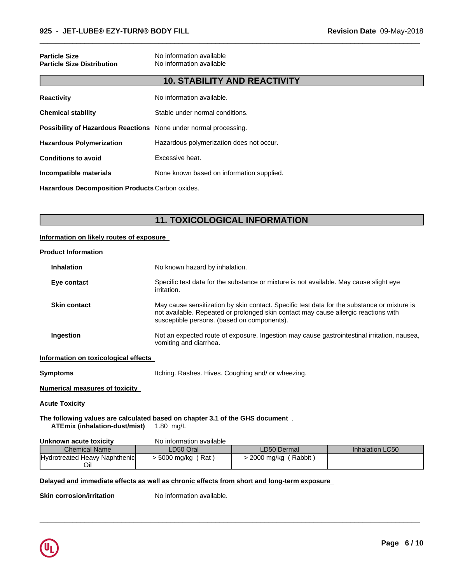| <b>Particle Size</b><br><b>Particle Size Distribution</b>               | No information available<br>No information available |
|-------------------------------------------------------------------------|------------------------------------------------------|
|                                                                         | <b>10. STABILITY AND REACTIVITY</b>                  |
| <b>Reactivity</b>                                                       | No information available.                            |
| <b>Chemical stability</b>                                               | Stable under normal conditions.                      |
| <b>Possibility of Hazardous Reactions</b> None under normal processing. |                                                      |
| <b>Hazardous Polymerization</b>                                         | Hazardous polymerization does not occur.             |
| <b>Conditions to avoid</b>                                              | Excessive heat.                                      |
| Incompatible materials                                                  | None known based on information supplied.            |
| Hazardous Decomposition Products Carbon oxides.                         |                                                      |

**11. TOXICOLOGICAL INFORMATION**

 $\overline{\phantom{a}}$  ,  $\overline{\phantom{a}}$  ,  $\overline{\phantom{a}}$  ,  $\overline{\phantom{a}}$  ,  $\overline{\phantom{a}}$  ,  $\overline{\phantom{a}}$  ,  $\overline{\phantom{a}}$  ,  $\overline{\phantom{a}}$  ,  $\overline{\phantom{a}}$  ,  $\overline{\phantom{a}}$  ,  $\overline{\phantom{a}}$  ,  $\overline{\phantom{a}}$  ,  $\overline{\phantom{a}}$  ,  $\overline{\phantom{a}}$  ,  $\overline{\phantom{a}}$  ,  $\overline{\phantom{a}}$ 

### **Information on likely routes of exposure**

#### **Product Information**

| <b>Inhalation</b>   | No known hazard by inhalation.                                                                                                                                                                                                    |
|---------------------|-----------------------------------------------------------------------------------------------------------------------------------------------------------------------------------------------------------------------------------|
| Eye contact         | Specific test data for the substance or mixture is not available. May cause slight eye<br>irritation.                                                                                                                             |
| <b>Skin contact</b> | May cause sensitization by skin contact. Specific test data for the substance or mixture is<br>not available. Repeated or prolonged skin contact may cause allergic reactions with<br>susceptible persons. (based on components). |
| Ingestion           | Not an expected route of exposure. Ingestion may cause gastrointestinal irritation, nausea,<br>vomiting and diarrhea.                                                                                                             |

#### **Information on toxicological effects**

**Symptoms Itching. Rashes. Hives. Coughing and/ or wheezing.** 

#### **Numerical measures of toxicity**

**Acute Toxicity**

#### **The following values are calculated based on chapter 3.1 of the GHS document** . **ATEmix (inhalation-dust/mist)** 1.80 mg/L

## **Unknown acute toxicity** No information available

| <b>Chemical Name</b>          | LD50 Oral           | LD50 Dermal          | <b>Inhalation LC50</b> |
|-------------------------------|---------------------|----------------------|------------------------|
| Hydrotreated Heavy Naphthenic | Rat<br>. 5000 mg/kg | Rabbit<br>2000 mg/kg |                        |
| Oil                           |                     |                      |                        |

 $\overline{\phantom{a}}$  ,  $\overline{\phantom{a}}$  ,  $\overline{\phantom{a}}$  ,  $\overline{\phantom{a}}$  ,  $\overline{\phantom{a}}$  ,  $\overline{\phantom{a}}$  ,  $\overline{\phantom{a}}$  ,  $\overline{\phantom{a}}$  ,  $\overline{\phantom{a}}$  ,  $\overline{\phantom{a}}$  ,  $\overline{\phantom{a}}$  ,  $\overline{\phantom{a}}$  ,  $\overline{\phantom{a}}$  ,  $\overline{\phantom{a}}$  ,  $\overline{\phantom{a}}$  ,  $\overline{\phantom{a}}$ 

## **Delayed and immediate effects as well as chronic effects from short and long-term exposure**

**Skin corrosion/irritation** No information available.

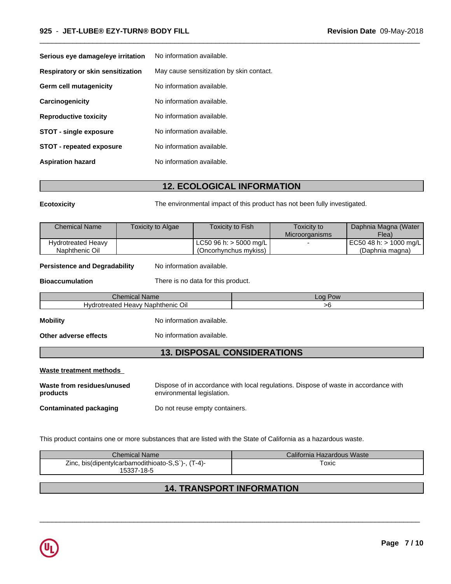| Serious eye damage/eye irritation | No information available.                |
|-----------------------------------|------------------------------------------|
| Respiratory or skin sensitization | May cause sensitization by skin contact. |
| Germ cell mutagenicity            | No information available.                |
| Carcinogenicity                   | No information available.                |
| <b>Reproductive toxicity</b>      | No information available.                |
| <b>STOT - single exposure</b>     | No information available.                |
| <b>STOT - repeated exposure</b>   | No information available.                |
| <b>Aspiration hazard</b>          | No information available.                |

# **12. ECOLOGICAL INFORMATION**

**Ecotoxicity** The environmental impact of this product has not been fully investigated.

 $\overline{\phantom{a}}$  ,  $\overline{\phantom{a}}$  ,  $\overline{\phantom{a}}$  ,  $\overline{\phantom{a}}$  ,  $\overline{\phantom{a}}$  ,  $\overline{\phantom{a}}$  ,  $\overline{\phantom{a}}$  ,  $\overline{\phantom{a}}$  ,  $\overline{\phantom{a}}$  ,  $\overline{\phantom{a}}$  ,  $\overline{\phantom{a}}$  ,  $\overline{\phantom{a}}$  ,  $\overline{\phantom{a}}$  ,  $\overline{\phantom{a}}$  ,  $\overline{\phantom{a}}$  ,  $\overline{\phantom{a}}$ 

| <b>Chemical Name</b>      | Toxicity to Algae | Toxicity to Fish <sup>®</sup> | Toxicity to<br><b>Microorganisms</b> | Daphnia Magna (Water<br>$F$ lea) |
|---------------------------|-------------------|-------------------------------|--------------------------------------|----------------------------------|
| <b>Hydrotreated Heavy</b> |                   | LC50 96 h: $>$ 5000 mg/L      |                                      | EC50 48 h: > 1000 mg/L           |
| Naphthenic Oil            |                   | (Oncorhynchus mykiss)         |                                      | (Daphnia magna)                  |

**Persistence and Degradability** No information available.

**Bioaccumulation** There is no data for this product.

Chemical Name Log Pow Hydrotreated Heavy Naphthenic Oil and the state of the state of the state of the state of the state of the state of the state of the state of the state of the state of the state of the state of the state of the state of th

**Mobility Mobility** No information available.

**Other adverse effects** No information available.

# **13. DISPOSAL CONSIDERATIONS**

## **Waste treatment methods**

| Waste from residues/unused    | Dispose of in accordance with local regulations. Dispose of waste in accordance with |
|-------------------------------|--------------------------------------------------------------------------------------|
| products                      | environmental legislation.                                                           |
| <b>Contaminated packaging</b> | Do not reuse empty containers.                                                       |

This product contains one or more substances that are listed with the State of California as a hazardous waste.

| Chemical Name                                               | California Hazardous Waste |
|-------------------------------------------------------------|----------------------------|
| 'T-4)-<br>Zinc, bis(dipentylcarbamodithioato-S,S)<br>$\sim$ | $\tau_{\mathsf{OXIC}}$     |
| 15337-18-5                                                  |                            |

# **14. TRANSPORT INFORMATION**

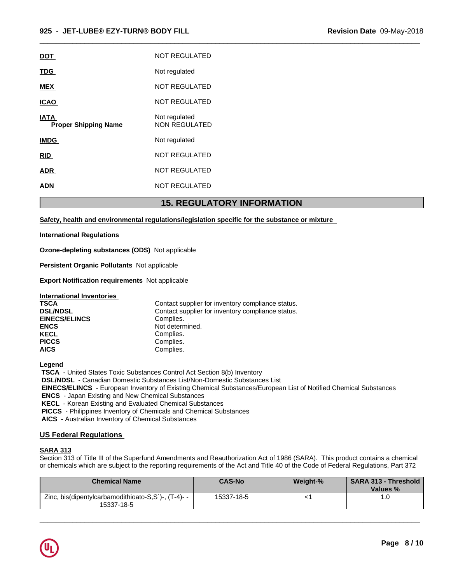$\overline{\phantom{a}}$  ,  $\overline{\phantom{a}}$  ,  $\overline{\phantom{a}}$  ,  $\overline{\phantom{a}}$  ,  $\overline{\phantom{a}}$  ,  $\overline{\phantom{a}}$  ,  $\overline{\phantom{a}}$  ,  $\overline{\phantom{a}}$  ,  $\overline{\phantom{a}}$  ,  $\overline{\phantom{a}}$  ,  $\overline{\phantom{a}}$  ,  $\overline{\phantom{a}}$  ,  $\overline{\phantom{a}}$  ,  $\overline{\phantom{a}}$  ,  $\overline{\phantom{a}}$  ,  $\overline{\phantom{a}}$ 

|                                            | <b>15. REGULATORY INFORMATION</b> |
|--------------------------------------------|-----------------------------------|
| ADN                                        | <b>NOT REGULATED</b>              |
| <b>ADR</b>                                 | <b>NOT REGULATED</b>              |
| <u>RID</u>                                 | <b>NOT REGULATED</b>              |
| <b>IMDG</b>                                | Not regulated                     |
| <b>IATA</b><br><b>Proper Shipping Name</b> | Not regulated<br>NON REGULATED    |
| <b>ICAO</b>                                | <b>NOT REGULATED</b>              |
| <b>MEX</b>                                 | <b>NOT REGULATED</b>              |
| <b>TDG</b>                                 | Not regulated                     |
| <b>DOT</b>                                 | <b>NOT REGULATED</b>              |

# **Safety, health and environmental regulations/legislation specific for the substance or mixture**

### **International Regulations**

**Ozone-depleting substances (ODS)** Notapplicable

**Persistent Organic Pollutants** Not applicable

**Export Notification requirements** Not applicable

| <b>International Inventories</b> |                                                   |
|----------------------------------|---------------------------------------------------|
| <b>TSCA</b>                      | Contact supplier for inventory compliance status. |
| <b>DSL/NDSL</b>                  | Contact supplier for inventory compliance status. |
| <b>EINECS/ELINCS</b>             | Complies.                                         |
| <b>ENCS</b>                      | Not determined.                                   |
| <b>KECL</b>                      | Complies.                                         |
| <b>PICCS</b>                     | Complies.                                         |
| <b>AICS</b>                      | Complies.                                         |

**Legend** 

 **TSCA** - United States Toxic Substances Control Act Section 8(b) Inventory

 **DSL/NDSL** - Canadian Domestic Substances List/Non-Domestic Substances List

 **EINECS/ELINCS** - European Inventory of Existing Chemical Substances/European List of Notified Chemical Substances

 **ENCS** - Japan Existing and New Chemical Substances

 **KECL** - Korean Existing and Evaluated Chemical Substances

 **PICCS** - Philippines Inventory of Chemicals and Chemical Substances

 **AICS** - Australian Inventory of Chemical Substances

## **US Federal Regulations**

### **SARA 313**

Section 313 of Title III of the Superfund Amendments and Reauthorization Act of 1986 (SARA). This product contains a chemical or chemicals which are subject to the reporting requirements of the Act and Title 40 of the Code of Federal Regulations, Part 372

| <b>Chemical Name</b>                                              | <b>CAS-No</b> | Weight-% | Values % |
|-------------------------------------------------------------------|---------------|----------|----------|
| Zinc, bis(dipentylcarbamodithioato-S,S`)-, (T-4)- -<br>15337-18-5 | 15337-18-5    |          |          |

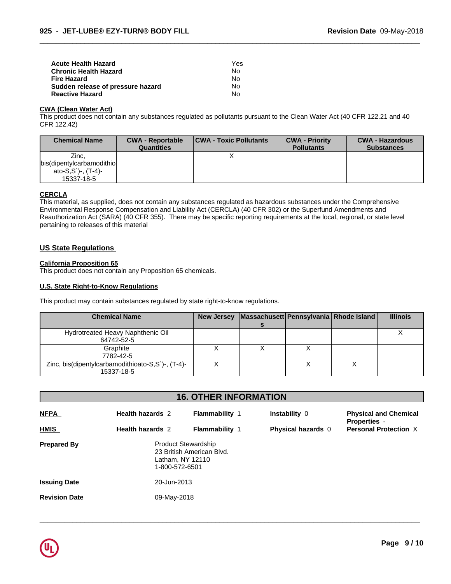| Acute Health Hazard               | Yes |  |
|-----------------------------------|-----|--|
| Chronic Health Hazard             | No. |  |
| Fire Hazard                       | No. |  |
| Sudden release of pressure hazard | No. |  |
| <b>Reactive Hazard</b>            | No. |  |

#### **CWA (Clean WaterAct)**

This product does not contain any substances regulated as pollutants pursuant to the Clean Water Act (40 CFR 122.21 and 40 CFR 122.42)

 $\overline{\phantom{a}}$  ,  $\overline{\phantom{a}}$  ,  $\overline{\phantom{a}}$  ,  $\overline{\phantom{a}}$  ,  $\overline{\phantom{a}}$  ,  $\overline{\phantom{a}}$  ,  $\overline{\phantom{a}}$  ,  $\overline{\phantom{a}}$  ,  $\overline{\phantom{a}}$  ,  $\overline{\phantom{a}}$  ,  $\overline{\phantom{a}}$  ,  $\overline{\phantom{a}}$  ,  $\overline{\phantom{a}}$  ,  $\overline{\phantom{a}}$  ,  $\overline{\phantom{a}}$  ,  $\overline{\phantom{a}}$ 

| <b>Chemical Name</b>                                                       | <b>CWA - Reportable</b><br><b>Quantities</b> | <b>CWA - Toxic Pollutants</b> | <b>CWA - Priority</b><br><b>Pollutants</b> | <b>CWA - Hazardous</b><br><b>Substances</b> |
|----------------------------------------------------------------------------|----------------------------------------------|-------------------------------|--------------------------------------------|---------------------------------------------|
| Zinc.<br>bis(dipentylcarbamodithio)<br>ato-S,S')-, $(T-4)$ -<br>15337-18-5 |                                              |                               |                                            |                                             |

## **CERCLA**

This material, as supplied, does not contain any substances regulated as hazardous substances under the Comprehensive Environmental Response Compensation and Liability Act (CERCLA) (40 CFR 302) or the Superfund Amendments and Reauthorization Act (SARA) (40 CFR 355). There may be specific reporting requirements at the local, regional, or state level pertaining to releases of this material

# **US State Regulations**

#### **California Proposition 65**

This product does not contain any Proposition 65 chemicals.

#### **U.S. State Right-to-Know Regulations**

This product may contain substances regulated by state right-to-know regulations.

| <b>Chemical Name</b>                              |  | New Jersey   Massachusett   Pennsylvania   Rhode Island | <b>Illinois</b> |
|---------------------------------------------------|--|---------------------------------------------------------|-----------------|
|                                                   |  |                                                         |                 |
| Hydrotreated Heavy Naphthenic Oil                 |  |                                                         |                 |
| 64742-52-5                                        |  |                                                         |                 |
| Graphite                                          |  |                                                         |                 |
| 7782-42-5                                         |  |                                                         |                 |
| Zinc, bis(dipentylcarbamodithioato-S,S`)-, (T-4)- |  |                                                         |                 |
| 15337-18-5                                        |  |                                                         |                 |

| <b>16. OTHER INFORMATION</b> |                         |                                                                                               |                           |                                                     |  |
|------------------------------|-------------------------|-----------------------------------------------------------------------------------------------|---------------------------|-----------------------------------------------------|--|
| <b>NFPA</b>                  | <b>Health hazards 2</b> | <b>Flammability 1</b>                                                                         | Instability 0             | <b>Physical and Chemical</b>                        |  |
| <b>HMIS</b>                  | <b>Health hazards 2</b> | <b>Flammability 1</b>                                                                         | <b>Physical hazards</b> 0 | <b>Properties -</b><br><b>Personal Protection X</b> |  |
| <b>Prepared By</b>           |                         | <b>Product Stewardship</b><br>23 British American Blvd.<br>Latham, NY 12110<br>1-800-572-6501 |                           |                                                     |  |
| <b>Issuing Date</b>          | 20-Jun-2013             |                                                                                               |                           |                                                     |  |
| <b>Revision Date</b>         | 09-May-2018             |                                                                                               |                           |                                                     |  |
|                              |                         |                                                                                               |                           |                                                     |  |